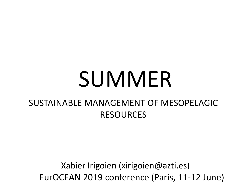# SUMMER

### SUSTAINABLE MANAGEMENT OF MESOPELAGIC RESOURCES

Xabier Irigoien (xirigoien@azti.es) EurOCEAN 2019 conference (Paris, 11-12 June)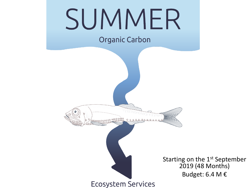

**Ecosystem Services** 

Starting on the 1<sup>st</sup> September 2019 (48 Months) Budget: 6.4 M €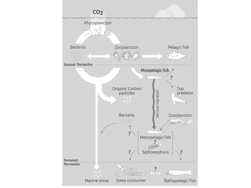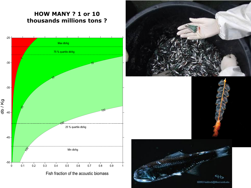#### **HOW MANY ? 1 or 10 thousands millions tons ?**







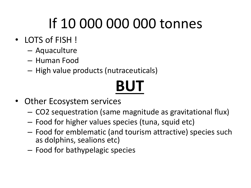## If 10 000 000 000 tonnes

- LOTS of FISH !
	- Aquaculture
	- Human Food
	- High value products (nutraceuticals)

## **BUT**

- Other Ecosystem services
	- CO2 sequestration (same magnitude as gravitational flux)
	- Food for higher values species (tuna, squid etc)
	- Food for emblematic (and tourism attractive) species such as dolphins, sealions etc)
	- Food for bathypelagic species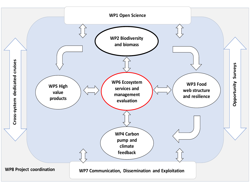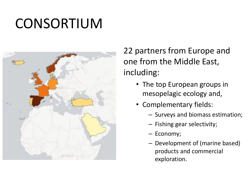### CONSORTIUM



22 partners from Europe and one from the Middle East, including:

- The top European groups in mesopelagic ecology and,
- Complementary fields:
	- Surveys and biomass estimation;
	- Fishing gear selectivity;
	- Economy;
	- Development of (marine based) products and commercial exploration.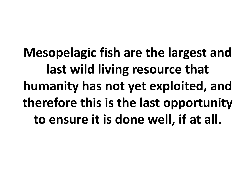**Mesopelagic fish are the largest and last wild living resource that humanity has not yet exploited, and therefore this is the last opportunity to ensure it is done well, if at all.**